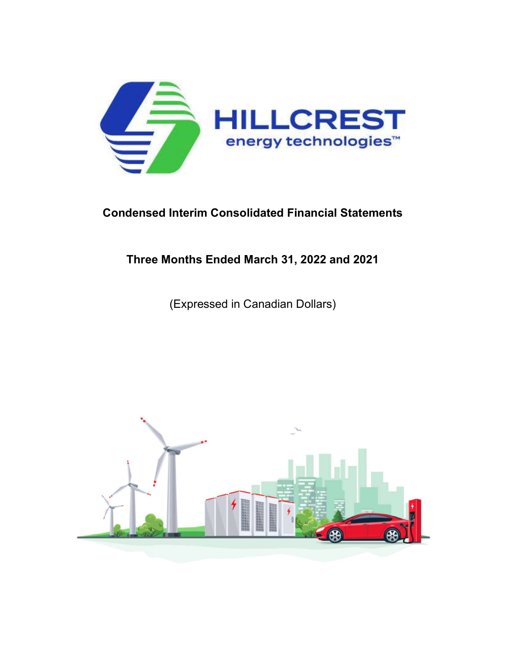

# Condensed Interim Consolidated Financial Statements

# Three Months Ended March 31, 2022 and 2021

(Expressed in Canadian Dollars)

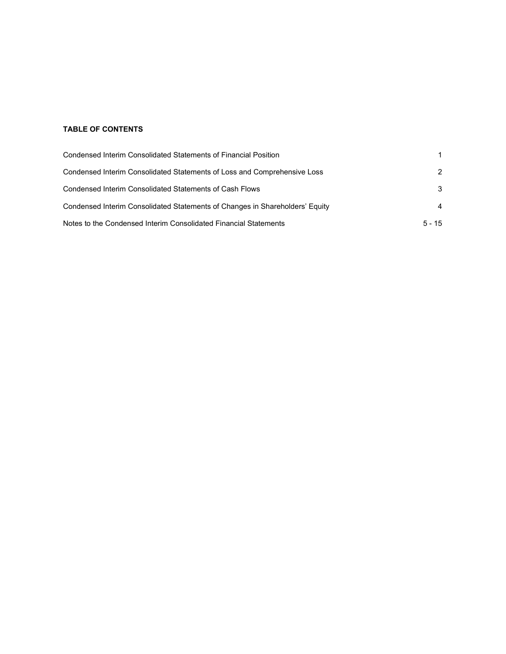# TABLE OF CONTENTS

| Condensed Interim Consolidated Statements of Financial Position              |                |
|------------------------------------------------------------------------------|----------------|
| Condensed Interim Consolidated Statements of Loss and Comprehensive Loss     | $\mathcal{P}$  |
| Condensed Interim Consolidated Statements of Cash Flows                      | 3              |
| Condensed Interim Consolidated Statements of Changes in Shareholders' Equity | $\overline{4}$ |
| Notes to the Condensed Interim Consolidated Financial Statements             | $5 - 15$       |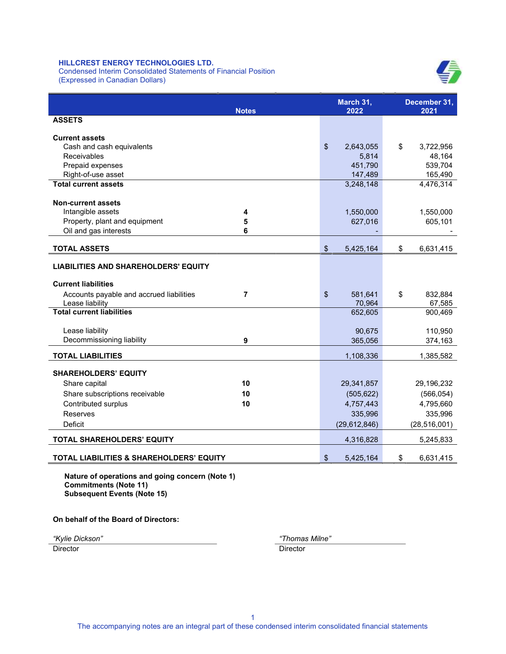Condensed Interim Consolidated Statements of Financial Position (Expressed in Canadian Dollars)



| <b>Notes</b>                                        | March 31,<br>2022 | December 31,<br>2021 |
|-----------------------------------------------------|-------------------|----------------------|
| <b>ASSETS</b>                                       |                   |                      |
| <b>Current assets</b>                               |                   |                      |
| Cash and cash equivalents                           | \$<br>2,643,055   | \$<br>3,722,956      |
| Receivables                                         | 5,814             | 48,164               |
| Prepaid expenses                                    | 451,790           | 539,704              |
| Right-of-use asset                                  | 147,489           | 165,490              |
| <b>Total current assets</b>                         | 3,248,148         | 4,476,314            |
|                                                     |                   |                      |
| <b>Non-current assets</b>                           |                   |                      |
| Intangible assets<br>4                              | 1,550,000         | 1,550,000            |
| Property, plant and equipment<br>5                  | 627,016           | 605,101              |
| Oil and gas interests<br>6                          |                   |                      |
| <b>TOTAL ASSETS</b>                                 | \$<br>5,425,164   | \$<br>6,631,415      |
| <b>LIABILITIES AND SHAREHOLDERS' EQUITY</b>         |                   |                      |
|                                                     |                   |                      |
| <b>Current liabilities</b>                          |                   |                      |
| Accounts payable and accrued liabilities<br>7       | \$<br>581,641     | \$<br>832,884        |
| Lease liability                                     | 70,964            | 67,585               |
| <b>Total current liabilities</b>                    | 652,605           | 900,469              |
| Lease liability                                     | 90,675            | 110,950              |
| Decommissioning liability<br>9                      | 365,056           | 374,163              |
|                                                     |                   |                      |
| <b>TOTAL LIABILITIES</b>                            | 1,108,336         | 1,385,582            |
| <b>SHAREHOLDERS' EQUITY</b>                         |                   |                      |
| 10<br>Share capital                                 | 29,341,857        | 29,196,232           |
| Share subscriptions receivable<br>10                | (505, 622)        | (566, 054)           |
| 10<br>Contributed surplus                           | 4,757,443         | 4,795,660            |
| Reserves                                            | 335,996           | 335,996              |
| <b>Deficit</b>                                      | (29, 612, 846)    | (28, 516, 001)       |
| <b>TOTAL SHAREHOLDERS' EQUITY</b>                   | 4,316,828         | 5,245,833            |
|                                                     |                   |                      |
| <b>TOTAL LIABILITIES &amp; SHAREHOLDERS' EQUITY</b> | \$<br>5,425,164   | \$<br>6,631,415      |

Nature of operations and going concern (Note 1) Commitments (Note 11) Subsequent Events (Note 15)

On behalf of the Board of Directors:

"Kylie Dickson" "Thomas Milne"

Director Director Director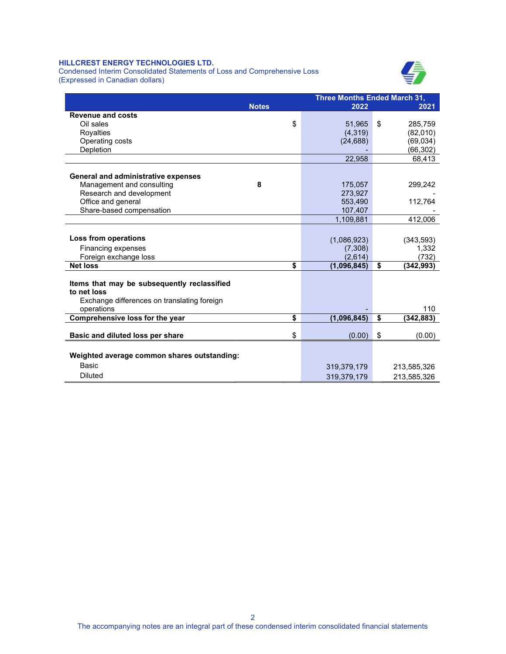Condensed Interim Consolidated Statements of Loss and Comprehensive Loss (Expressed in Canadian dollars)



|                                             | <b>Three Months Ended March 31,</b> |             |                 |  |  |
|---------------------------------------------|-------------------------------------|-------------|-----------------|--|--|
|                                             | <b>Notes</b>                        | 2022        | 2021            |  |  |
| <b>Revenue and costs</b>                    |                                     |             |                 |  |  |
| Oil sales                                   | \$                                  | 51,965      | \$<br>285,759   |  |  |
| Royalties                                   |                                     | (4,319)     | (82,010)        |  |  |
| Operating costs                             |                                     | (24, 688)   | (69, 034)       |  |  |
| Depletion                                   |                                     |             | (66, 302)       |  |  |
|                                             |                                     | 22,958      | 68,413          |  |  |
| <b>General and administrative expenses</b>  |                                     |             |                 |  |  |
| Management and consulting                   | 8                                   | 175,057     | 299,242         |  |  |
| Research and development                    |                                     | 273,927     |                 |  |  |
| Office and general                          |                                     | 553,490     | 112,764         |  |  |
| Share-based compensation                    |                                     | 107,407     |                 |  |  |
|                                             |                                     | 1,109,881   | 412,006         |  |  |
|                                             |                                     |             |                 |  |  |
| Loss from operations                        |                                     | (1,086,923) | (343, 593)      |  |  |
| Financing expenses                          |                                     | (7,308)     | 1,332           |  |  |
| Foreign exchange loss                       |                                     | (2,614)     | (732)           |  |  |
| <b>Net loss</b>                             | \$                                  | (1,096,845) | \$<br>(342,993) |  |  |
| Items that may be subsequently reclassified |                                     |             |                 |  |  |
| to net loss                                 |                                     |             |                 |  |  |
| Exchange differences on translating foreign |                                     |             |                 |  |  |
| operations                                  |                                     |             | 110             |  |  |
| Comprehensive loss for the year             | \$                                  | (1,096,845) | \$<br>(342,883) |  |  |
|                                             |                                     |             |                 |  |  |
| Basic and diluted loss per share            | \$                                  | (0.00)      | \$<br>(0.00)    |  |  |
|                                             |                                     |             |                 |  |  |
| Weighted average common shares outstanding: |                                     |             |                 |  |  |
| <b>Basic</b>                                |                                     | 319,379,179 | 213,585,326     |  |  |
| <b>Diluted</b>                              |                                     | 319,379,179 | 213,585,326     |  |  |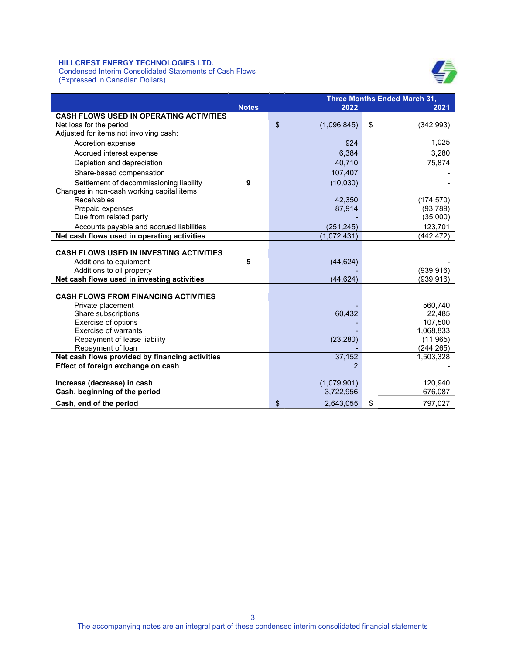Condensed Interim Consolidated Statements of Cash Flows (Expressed in Canadian Dollars)



|                                                 | Three Months Ended March 31, |                   |                  |  |  |
|-------------------------------------------------|------------------------------|-------------------|------------------|--|--|
|                                                 | <b>Notes</b>                 | 2022              | 2021             |  |  |
| CASH FLOWS USED IN OPERATING ACTIVITIES         |                              |                   |                  |  |  |
| Net loss for the period                         |                              | \$<br>(1,096,845) | \$<br>(342, 993) |  |  |
| Adjusted for items not involving cash:          |                              |                   |                  |  |  |
| Accretion expense                               |                              | 924               | 1,025            |  |  |
| Accrued interest expense                        |                              | 6,384             | 3,280            |  |  |
| Depletion and depreciation                      |                              | 40,710            | 75,874           |  |  |
| Share-based compensation                        |                              | 107,407           |                  |  |  |
| Settlement of decommissioning liability         | 9                            | (10,030)          |                  |  |  |
| Changes in non-cash working capital items:      |                              |                   |                  |  |  |
| Receivables                                     |                              | 42,350            | (174, 570)       |  |  |
| Prepaid expenses                                |                              | 87,914            | (93, 789)        |  |  |
| Due from related party                          |                              |                   | (35,000)         |  |  |
| Accounts payable and accrued liabilities        |                              | (251, 245)        | 123,701          |  |  |
| Net cash flows used in operating activities     |                              | (1,072,431)       | (442,472)        |  |  |
|                                                 |                              |                   |                  |  |  |
| <b>CASH FLOWS USED IN INVESTING ACTIVITIES</b>  |                              |                   |                  |  |  |
| Additions to equipment                          | 5                            | (44, 624)         |                  |  |  |
| Additions to oil property                       |                              |                   | (939,916)        |  |  |
| Net cash flows used in investing activities     |                              | (44, 624)         | (939,916)        |  |  |
| <b>CASH FLOWS FROM FINANCING ACTIVITIES</b>     |                              |                   |                  |  |  |
| Private placement                               |                              |                   | 560,740          |  |  |
| Share subscriptions                             |                              | 60,432            | 22,485           |  |  |
| Exercise of options                             |                              |                   | 107,500          |  |  |
| <b>Exercise of warrants</b>                     |                              |                   | 1,068,833        |  |  |
| Repayment of lease liability                    |                              | (23, 280)         | (11, 965)        |  |  |
| Repayment of loan                               |                              |                   | (244, 265)       |  |  |
| Net cash flows provided by financing activities |                              | 37,152            | 1,503,328        |  |  |
| Effect of foreign exchange on cash              |                              | $\mathfrak{p}$    |                  |  |  |
|                                                 |                              |                   |                  |  |  |
| Increase (decrease) in cash                     |                              | (1,079,901)       | 120,940          |  |  |
| Cash, beginning of the period                   |                              | 3,722,956         | 676,087          |  |  |
| Cash, end of the period                         |                              | \$<br>2,643,055   | \$<br>797,027    |  |  |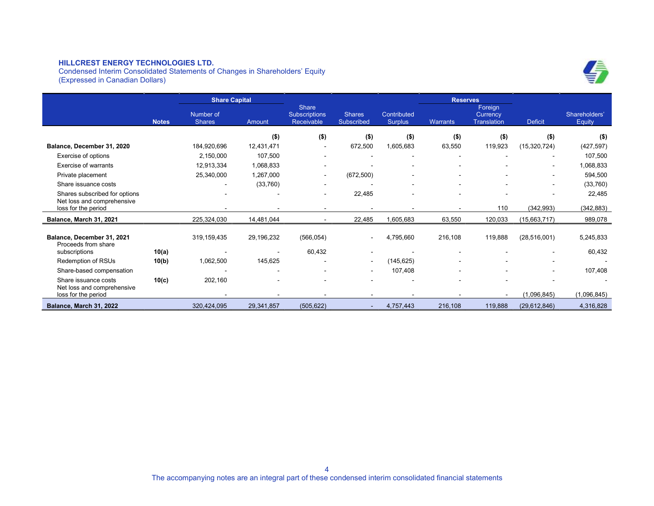Condensed Interim Consolidated Statements of Changes in Shareholders' Equity (Expressed in Canadian Dollars)





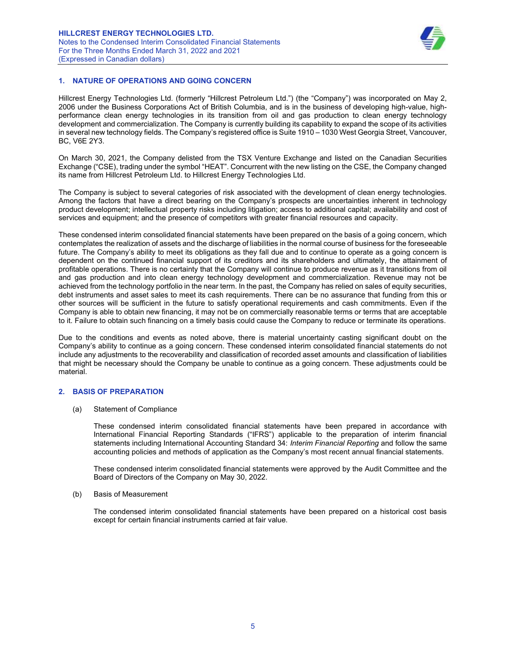

# 1. NATURE OF OPERATIONS AND GOING CONCERN

Hillcrest Energy Technologies Ltd. (formerly "Hillcrest Petroleum Ltd.") (the "Company") was incorporated on May 2, 2006 under the Business Corporations Act of British Columbia, and is in the business of developing high-value, highperformance clean energy technologies in its transition from oil and gas production to clean energy technology development and commercialization. The Company is currently building its capability to expand the scope of its activities in several new technology fields. The Company's registered office is Suite 1910 – 1030 West Georgia Street, Vancouver, BC, V6E 2Y3.

On March 30, 2021, the Company delisted from the TSX Venture Exchange and listed on the Canadian Securities Exchange ("CSE), trading under the symbol "HEAT". Concurrent with the new listing on the CSE, the Company changed its name from Hillcrest Petroleum Ltd. to Hillcrest Energy Technologies Ltd.

The Company is subject to several categories of risk associated with the development of clean energy technologies. Among the factors that have a direct bearing on the Company's prospects are uncertainties inherent in technology product development; intellectual property risks including litigation; access to additional capital; availability and cost of services and equipment; and the presence of competitors with greater financial resources and capacity.

These condensed interim consolidated financial statements have been prepared on the basis of a going concern, which contemplates the realization of assets and the discharge of liabilities in the normal course of business for the foreseeable future. The Company's ability to meet its obligations as they fall due and to continue to operate as a going concern is dependent on the continued financial support of its creditors and its shareholders and ultimately, the attainment of profitable operations. There is no certainty that the Company will continue to produce revenue as it transitions from oil and gas production and into clean energy technology development and commercialization. Revenue may not be achieved from the technology portfolio in the near term. In the past, the Company has relied on sales of equity securities, debt instruments and asset sales to meet its cash requirements. There can be no assurance that funding from this or other sources will be sufficient in the future to satisfy operational requirements and cash commitments. Even if the Company is able to obtain new financing, it may not be on commercially reasonable terms or terms that are acceptable to it. Failure to obtain such financing on a timely basis could cause the Company to reduce or terminate its operations.

Due to the conditions and events as noted above, there is material uncertainty casting significant doubt on the Company's ability to continue as a going concern. These condensed interim consolidated financial statements do not include any adjustments to the recoverability and classification of recorded asset amounts and classification of liabilities that might be necessary should the Company be unable to continue as a going concern. These adjustments could be material.

### 2. BASIS OF PREPARATION

(a) Statement of Compliance

These condensed interim consolidated financial statements have been prepared in accordance with International Financial Reporting Standards ("IFRS") applicable to the preparation of interim financial statements including International Accounting Standard 34: Interim Financial Reporting and follow the same accounting policies and methods of application as the Company's most recent annual financial statements.

These condensed interim consolidated financial statements were approved by the Audit Committee and the Board of Directors of the Company on May 30, 2022.

#### (b) Basis of Measurement

The condensed interim consolidated financial statements have been prepared on a historical cost basis except for certain financial instruments carried at fair value.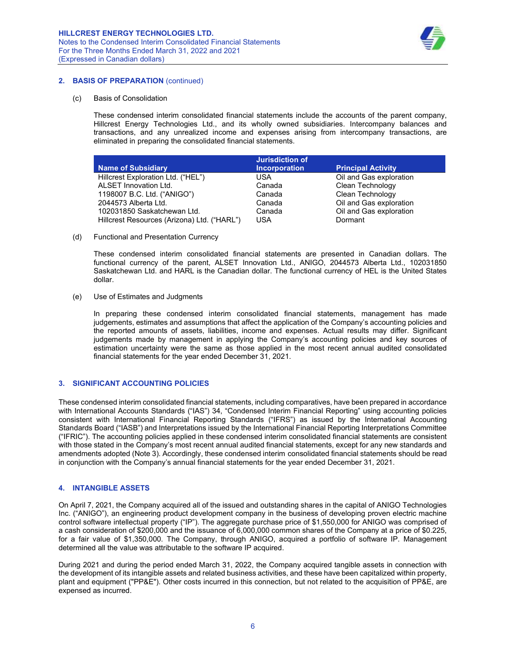

#### 2. BASIS OF PREPARATION (continued)

#### (c) Basis of Consolidation

These condensed interim consolidated financial statements include the accounts of the parent company, Hillcrest Energy Technologies Ltd., and its wholly owned subsidiaries. Intercompany balances and transactions, and any unrealized income and expenses arising from intercompany transactions, are eliminated in preparing the consolidated financial statements.

|                                             | <b>Jurisdiction of</b> |                           |
|---------------------------------------------|------------------------|---------------------------|
| <b>Name of Subsidiary</b>                   | <b>Incorporation</b>   | <b>Principal Activity</b> |
| Hillcrest Exploration Ltd. ("HEL")          | USA                    | Oil and Gas exploration   |
| <b>ALSET Innovation Ltd.</b>                | Canada                 | Clean Technology          |
| 1198007 B.C. Ltd. ("ANIGO")                 | Canada                 | Clean Technology          |
| 2044573 Alberta Ltd.                        | Canada                 | Oil and Gas exploration   |
| 102031850 Saskatchewan Ltd.                 | Canada                 | Oil and Gas exploration   |
| Hillcrest Resources (Arizona) Ltd. ("HARL") | USA                    | Dormant                   |

#### (d) Functional and Presentation Currency

These condensed interim consolidated financial statements are presented in Canadian dollars. The functional currency of the parent, ALSET Innovation Ltd., ANIGO, 2044573 Alberta Ltd., 102031850 Saskatchewan Ltd. and HARL is the Canadian dollar. The functional currency of HEL is the United States dollar.

(e) Use of Estimates and Judgments

In preparing these condensed interim consolidated financial statements, management has made judgements, estimates and assumptions that affect the application of the Company's accounting policies and the reported amounts of assets, liabilities, income and expenses. Actual results may differ. Significant judgements made by management in applying the Company's accounting policies and key sources of estimation uncertainty were the same as those applied in the most recent annual audited consolidated financial statements for the year ended December 31, 2021.

### 3. SIGNIFICANT ACCOUNTING POLICIES

These condensed interim consolidated financial statements, including comparatives, have been prepared in accordance with International Accounts Standards ("IAS") 34, "Condensed Interim Financial Reporting" using accounting policies consistent with International Financial Reporting Standards ("IFRS") as issued by the International Accounting Standards Board ("IASB") and Interpretations issued by the International Financial Reporting Interpretations Committee ("IFRIC"). The accounting policies applied in these condensed interim consolidated financial statements are consistent with those stated in the Company's most recent annual audited financial statements, except for any new standards and amendments adopted (Note 3). Accordingly, these condensed interim consolidated financial statements should be read in conjunction with the Company's annual financial statements for the year ended December 31, 2021.

### 4. INTANGIBLE ASSETS

On April 7, 2021, the Company acquired all of the issued and outstanding shares in the capital of ANIGO Technologies Inc. ("ANIGO"), an engineering product development company in the business of developing proven electric machine control software intellectual property ("IP"). The aggregate purchase price of \$1,550,000 for ANIGO was comprised of a cash consideration of \$200,000 and the issuance of 6,000,000 common shares of the Company at a price of \$0.225, for a fair value of \$1,350,000. The Company, through ANIGO, acquired a portfolio of software IP. Management determined all the value was attributable to the software IP acquired.

During 2021 and during the period ended March 31, 2022, the Company acquired tangible assets in connection with the development of its intangible assets and related business activities, and these have been capitalized within property, plant and equipment ("PP&E"). Other costs incurred in this connection, but not related to the acquisition of PP&E, are expensed as incurred.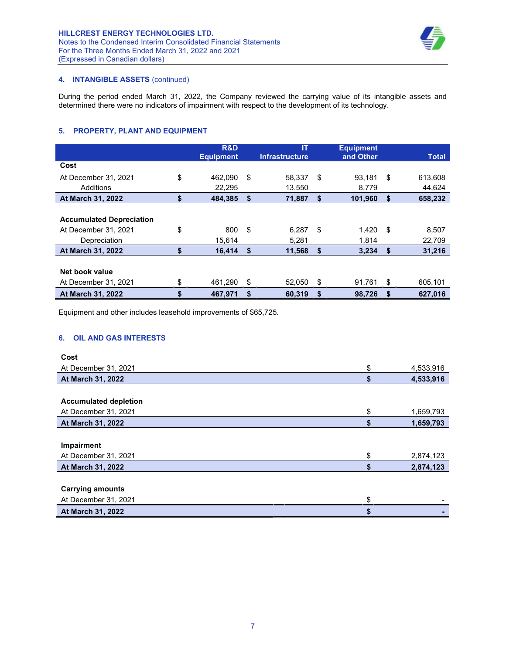

# 4. INTANGIBLE ASSETS (continued)

During the period ended March 31, 2022, the Company reviewed the carrying value of its intangible assets and determined there were no indicators of impairment with respect to the development of its technology.

# 5. PROPERTY, PLANT AND EQUIPMENT

|                                 | R&D              |     | ΙT                    |    | <b>Equipment</b> |    |              |
|---------------------------------|------------------|-----|-----------------------|----|------------------|----|--------------|
|                                 | <b>Equipment</b> |     | <b>Infrastructure</b> |    | and Other        |    | <b>Total</b> |
| Cost                            |                  |     |                       |    |                  |    |              |
| At December 31, 2021            | \$<br>462.090    | \$  | 58.337                | \$ | 93.181           | \$ | 613,608      |
| Additions                       | 22.295           |     | 13.550                |    | 8.779            |    | 44,624       |
| <b>At March 31, 2022</b>        | \$<br>484.385    | \$  | 71,887                | S  | 101,960          | S  | 658,232      |
|                                 |                  |     |                       |    |                  |    |              |
| <b>Accumulated Depreciation</b> |                  |     |                       |    |                  |    |              |
| At December 31, 2021            | \$<br>800        | -\$ | 6.287                 | \$ | 1,420            | \$ | 8,507        |
| Depreciation                    | 15.614           |     | 5.281                 |    | 1.814            |    | 22,709       |
| At March 31, 2022               | \$<br>16.414     | \$  | 11.568                | \$ | 3.234            | S. | 31,216       |
|                                 |                  |     |                       |    |                  |    |              |
| Net book value                  |                  |     |                       |    |                  |    |              |
| At December 31, 2021            | 461,290          | \$  | 52,050                | \$ | 91,761           | S  | 605,101      |
| At March 31, 2022               | \$<br>467,971    | \$  | 60,319                | \$ | 98,726           | \$ | 627.016      |

Equipment and other includes leasehold improvements of \$65,725.

# 6. OIL AND GAS INTERESTS

| Cost                         |    |           |
|------------------------------|----|-----------|
| At December 31, 2021         | \$ | 4,533,916 |
| At March 31, 2022            | S  | 4,533,916 |
|                              |    |           |
| <b>Accumulated depletion</b> |    |           |
| At December 31, 2021         | \$ | 1,659,793 |
| At March 31, 2022            | \$ | 1,659,793 |
|                              |    |           |
| Impairment                   |    |           |
| At December 31, 2021         | \$ | 2,874,123 |
| At March 31, 2022            | \$ | 2,874,123 |
|                              |    |           |
| <b>Carrying amounts</b>      |    |           |
| At December 31, 2021         | \$ |           |
| At March 31, 2022            | \$ |           |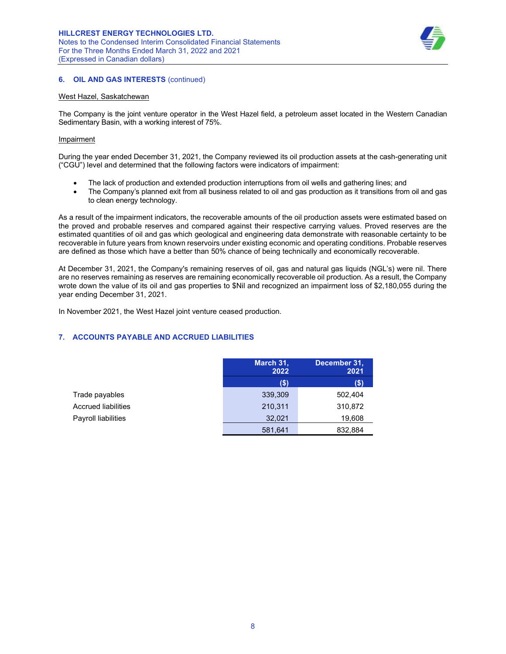

# **6. OIL AND GAS INTERESTS (continued)**

### West Hazel, Saskatchewan

The Company is the joint venture operator in the West Hazel field, a petroleum asset located in the Western Canadian Sedimentary Basin, with a working interest of 75%.

## Impairment

During the year ended December 31, 2021, the Company reviewed its oil production assets at the cash-generating unit ("CGU") level and determined that the following factors were indicators of impairment:

- The lack of production and extended production interruptions from oil wells and gathering lines; and
- The Company's planned exit from all business related to oil and gas production as it transitions from oil and gas to clean energy technology.

As a result of the impairment indicators, the recoverable amounts of the oil production assets were estimated based on the proved and probable reserves and compared against their respective carrying values. Proved reserves are the estimated quantities of oil and gas which geological and engineering data demonstrate with reasonable certainty to be recoverable in future years from known reservoirs under existing economic and operating conditions. Probable reserves are defined as those which have a better than 50% chance of being technically and economically recoverable.

At December 31, 2021, the Company's remaining reserves of oil, gas and natural gas liquids (NGL's) were nil. There are no reserves remaining as reserves are remaining economically recoverable oil production. As a result, the Company wrote down the value of its oil and gas properties to \$Nil and recognized an impairment loss of \$2,180,055 during the year ending December 31, 2021.

In November 2021, the West Hazel joint venture ceased production.

# 7. ACCOUNTS PAYABLE AND ACCRUED LIABILITIES

|                            | March 31,<br>2022 | December 31.<br>2021 |
|----------------------------|-------------------|----------------------|
|                            | $(\$)$            | $($ \$)              |
| Trade payables             | 339,309           | 502,404              |
| <b>Accrued liabilities</b> | 210,311           | 310,872              |
| Payroll liabilities        | 32,021            | 19,608               |
|                            | 581,641           | 832,884              |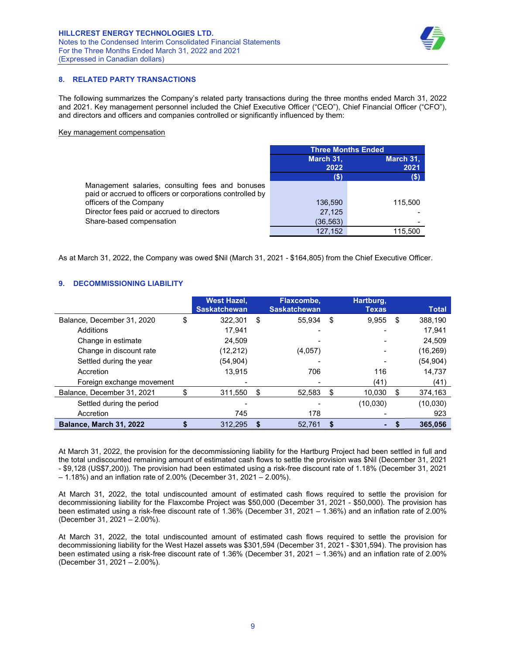

# 8. RELATED PARTY TRANSACTIONS

The following summarizes the Company's related party transactions during the three months ended March 31, 2022 and 2021. Key management personnel included the Chief Executive Officer ("CEO"), Chief Financial Officer ("CFO"), and directors and officers and companies controlled or significantly influenced by them:

#### Key management compensation

|                                                                                                               | <b>Three Months Ended</b> |                   |  |  |  |
|---------------------------------------------------------------------------------------------------------------|---------------------------|-------------------|--|--|--|
|                                                                                                               | March 31,<br>2022         | March 31,<br>2021 |  |  |  |
|                                                                                                               | (\$                       | (S)               |  |  |  |
| Management salaries, consulting fees and bonuses<br>paid or accrued to officers or corporations controlled by |                           |                   |  |  |  |
| officers of the Company                                                                                       | 136,590                   | 115,500           |  |  |  |
| Director fees paid or accrued to directors                                                                    | 27,125                    |                   |  |  |  |
| Share-based compensation                                                                                      | (36, 563)                 |                   |  |  |  |
|                                                                                                               | 127.152                   | 115.500           |  |  |  |

As at March 31, 2022, the Company was owed \$Nil (March 31, 2021 - \$164,805) from the Chief Executive Officer.

# 9. DECOMMISSIONING LIABILITY

|                            | <b>West Hazel,</b><br><b>Saskatchewan</b> |      | Flaxcombe,<br><b>Saskatchewan</b> |      | Hartburg,<br><b>Texas</b> |    | <b>Total</b> |
|----------------------------|-------------------------------------------|------|-----------------------------------|------|---------------------------|----|--------------|
| Balance, December 31, 2020 | \$<br>322.301                             | - \$ | 55.934                            | - \$ | 9,955                     | \$ | 388,190      |
| Additions                  | 17.941                                    |      |                                   |      |                           |    | 17.941       |
| Change in estimate         | 24.509                                    |      |                                   |      |                           |    | 24.509       |
| Change in discount rate    | (12,212)                                  |      | (4,057)                           |      |                           |    | (16, 269)    |
| Settled during the year    | (54, 904)                                 |      |                                   |      |                           |    | (54, 904)    |
| Accretion                  | 13.915                                    |      | 706                               |      | 116                       |    | 14,737       |
| Foreign exchange movement  |                                           |      |                                   |      | (41)                      |    | (41)         |
| Balance, December 31, 2021 | \$<br>311,550                             | \$   | 52.583                            | \$   | 10.030                    | S  | 374,163      |
| Settled during the period  |                                           |      |                                   |      | (10,030)                  |    | (10, 030)    |
| Accretion                  | 745                                       |      | 178                               |      |                           |    | 923          |
| Balance, March 31, 2022    | 312.295                                   | S    | 52.761                            | \$   | ٠                         |    | 365.056      |

At March 31, 2022, the provision for the decommissioning liability for the Hartburg Project had been settled in full and the total undiscounted remaining amount of estimated cash flows to settle the provision was \$Nil (December 31, 2021 - \$9,128 (US\$7,200)). The provision had been estimated using a risk-free discount rate of 1.18% (December 31, 2021 – 1.18%) and an inflation rate of 2.00% (December 31, 2021 – 2.00%).

At March 31, 2022, the total undiscounted amount of estimated cash flows required to settle the provision for decommissioning liability for the Flaxcombe Project was \$50,000 (December 31, 2021 - \$50,000). The provision has been estimated using a risk-free discount rate of 1.36% (December 31, 2021 – 1.36%) and an inflation rate of 2.00% (December 31, 2021 – 2.00%).

At March 31, 2022, the total undiscounted amount of estimated cash flows required to settle the provision for decommissioning liability for the West Hazel assets was \$301,594 (December 31, 2021 - \$301,594). The provision has been estimated using a risk-free discount rate of 1.36% (December 31, 2021 – 1.36%) and an inflation rate of 2.00% (December 31, 2021 – 2.00%).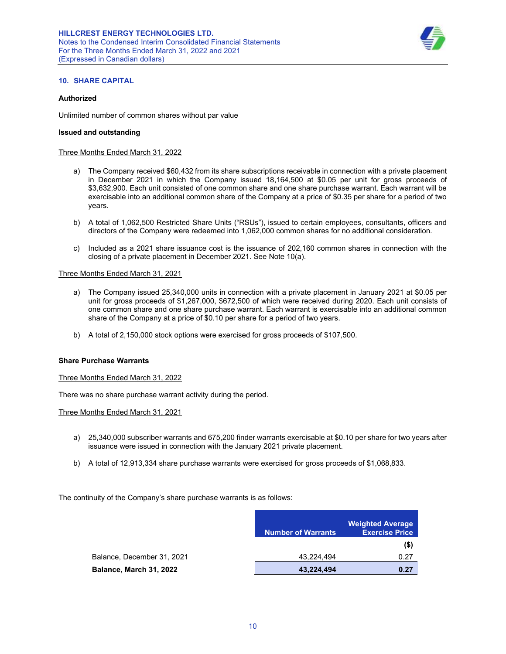

### 10. SHARE CAPITAL

### Authorized

Unlimited number of common shares without par value

#### Issued and outstanding

#### Three Months Ended March 31, 2022

- a) The Company received \$60,432 from its share subscriptions receivable in connection with a private placement in December 2021 in which the Company issued 18,164,500 at \$0.05 per unit for gross proceeds of \$3,632,900. Each unit consisted of one common share and one share purchase warrant. Each warrant will be exercisable into an additional common share of the Company at a price of \$0.35 per share for a period of two years.
- b) A total of 1,062,500 Restricted Share Units ("RSUs"), issued to certain employees, consultants, officers and directors of the Company were redeemed into 1,062,000 common shares for no additional consideration.
- c) Included as a 2021 share issuance cost is the issuance of 202,160 common shares in connection with the closing of a private placement in December 2021. See Note 10(a).

#### Three Months Ended March 31, 2021

- a) The Company issued 25,340,000 units in connection with a private placement in January 2021 at \$0.05 per unit for gross proceeds of \$1,267,000, \$672,500 of which were received during 2020. Each unit consists of one common share and one share purchase warrant. Each warrant is exercisable into an additional common share of the Company at a price of \$0.10 per share for a period of two years.
- b) A total of 2,150,000 stock options were exercised for gross proceeds of \$107,500.

### Share Purchase Warrants

Three Months Ended March 31, 2022

There was no share purchase warrant activity during the period.

Three Months Ended March 31, 2021

- a) 25,340,000 subscriber warrants and 675,200 finder warrants exercisable at \$0.10 per share for two years after issuance were issued in connection with the January 2021 private placement.
- b) A total of 12,913,334 share purchase warrants were exercised for gross proceeds of \$1,068,833.

The continuity of the Company's share purchase warrants is as follows:

|                            | <b>Number of Warrants</b> | <b>Weighted Average</b><br><b>Exercise Price</b> |
|----------------------------|---------------------------|--------------------------------------------------|
|                            |                           | $($ \$)                                          |
| Balance, December 31, 2021 | 43.224.494                | 0.27                                             |
| Balance, March 31, 2022    | 43,224,494                | 0.27                                             |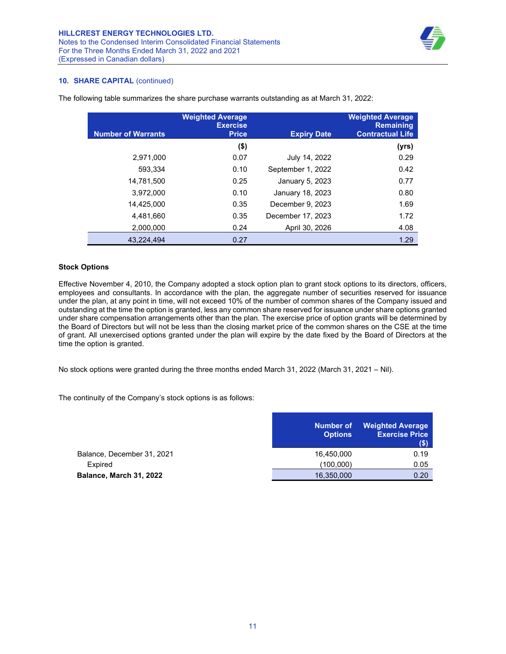

# 10. SHARE CAPITAL (continued)

| <b>Number of Warrants</b> | <b>Weighted Average</b><br><b>Exercise</b><br><b>Price</b> | <b>Expiry Date</b> | <b>Weighted Average</b><br><b>Remaining</b><br><b>Contractual Life</b> |
|---------------------------|------------------------------------------------------------|--------------------|------------------------------------------------------------------------|
|                           | $($ \$)                                                    |                    | (yrs)                                                                  |
| 2,971,000                 | 0.07                                                       | July 14, 2022      | 0.29                                                                   |
| 593.334                   | 0.10                                                       | September 1, 2022  | 0.42                                                                   |
| 14,781,500                | 0.25                                                       | January 5, 2023    | 0.77                                                                   |
| 3.972.000                 | 0.10                                                       | January 18, 2023   | 0.80                                                                   |
| 14.425.000                | 0.35                                                       | December 9, 2023   | 1.69                                                                   |
| 4,481,660                 | 0.35                                                       | December 17, 2023  | 1.72                                                                   |
| 2.000.000                 | 0.24                                                       | April 30, 2026     | 4.08                                                                   |
| 43.224.494                | 0.27                                                       |                    | 1.29                                                                   |

The following table summarizes the share purchase warrants outstanding as at March 31, 2022:

#### Stock Options

Effective November 4, 2010, the Company adopted a stock option plan to grant stock options to its directors, officers, employees and consultants. In accordance with the plan, the aggregate number of securities reserved for issuance under the plan, at any point in time, will not exceed 10% of the number of common shares of the Company issued and outstanding at the time the option is granted, less any common share reserved for issuance under share options granted under share compensation arrangements other than the plan. The exercise price of option grants will be determined by the Board of Directors but will not be less than the closing market price of the common shares on the CSE at the time of grant. All unexercised options granted under the plan will expire by the date fixed by the Board of Directors at the time the option is granted.

No stock options were granted during the three months ended March 31, 2022 (March 31, 2021 – Nil).

The continuity of the Company's stock options is as follows:

|                            | <b>Number of</b><br><b>Options</b> | <b>Weighted Average</b><br><b>Exercise Price</b><br>(S) |
|----------------------------|------------------------------------|---------------------------------------------------------|
| Balance, December 31, 2021 | 16,450,000                         | 0.19                                                    |
| Expired                    | (100,000)                          | 0.05                                                    |
| Balance, March 31, 2022    | 16,350,000                         | 0.20                                                    |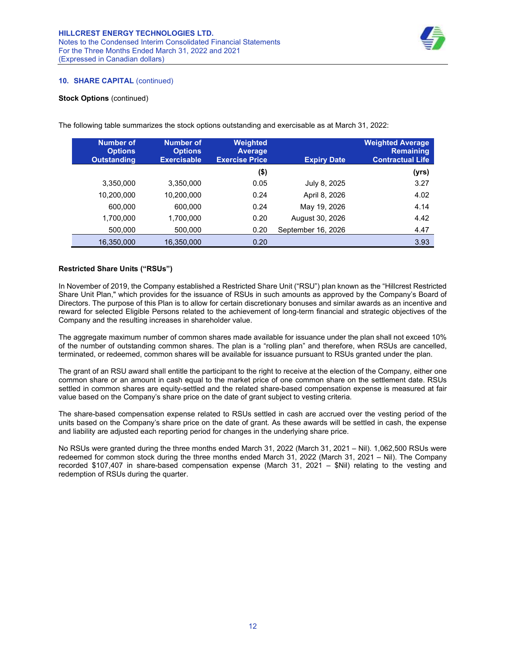

## 10. SHARE CAPITAL (continued)

### Stock Options (continued)

| <b>Number of</b><br><b>Options</b><br><b>Outstanding</b> | <b>Number of</b><br><b>Options</b><br><b>Exercisable</b> | <b>Weighted</b><br><b>Average</b><br><b>Exercise Price</b> | <b>Expiry Date</b> | <b>Weighted Average</b><br><b>Remaining</b><br><b>Contractual Life</b> |
|----------------------------------------------------------|----------------------------------------------------------|------------------------------------------------------------|--------------------|------------------------------------------------------------------------|
|                                                          |                                                          | $($ \$)                                                    |                    | (yrs)                                                                  |
| 3,350,000                                                | 3,350,000                                                | 0.05                                                       | July 8, 2025       | 3.27                                                                   |
| 10,200,000                                               | 10,200,000                                               | 0.24                                                       | April 8, 2026      | 4.02                                                                   |
| 600.000                                                  | 600.000                                                  | 0.24                                                       | May 19, 2026       | 4.14                                                                   |
| 1,700,000                                                | 1,700,000                                                | 0.20                                                       | August 30, 2026    | 4.42                                                                   |
| 500,000                                                  | 500,000                                                  | 0.20                                                       | September 16, 2026 | 4.47                                                                   |
| 16,350,000                                               | 16,350,000                                               | 0.20                                                       |                    | 3.93                                                                   |

The following table summarizes the stock options outstanding and exercisable as at March 31, 2022:

## Restricted Share Units ("RSUs")

In November of 2019, the Company established a Restricted Share Unit ("RSU") plan known as the "Hillcrest Restricted Share Unit Plan," which provides for the issuance of RSUs in such amounts as approved by the Company's Board of Directors. The purpose of this Plan is to allow for certain discretionary bonuses and similar awards as an incentive and reward for selected Eligible Persons related to the achievement of long-term financial and strategic objectives of the Company and the resulting increases in shareholder value.

The aggregate maximum number of common shares made available for issuance under the plan shall not exceed 10% of the number of outstanding common shares. The plan is a "rolling plan" and therefore, when RSUs are cancelled, terminated, or redeemed, common shares will be available for issuance pursuant to RSUs granted under the plan.

The grant of an RSU award shall entitle the participant to the right to receive at the election of the Company, either one common share or an amount in cash equal to the market price of one common share on the settlement date. RSUs settled in common shares are equity-settled and the related share-based compensation expense is measured at fair value based on the Company's share price on the date of grant subject to vesting criteria.

The share-based compensation expense related to RSUs settled in cash are accrued over the vesting period of the units based on the Company's share price on the date of grant. As these awards will be settled in cash, the expense and liability are adjusted each reporting period for changes in the underlying share price.

No RSUs were granted during the three months ended March 31, 2022 (March 31, 2021 – Nil). 1,062,500 RSUs were redeemed for common stock during the three months ended March 31, 2022 (March 31, 2021 – Nil). The Company recorded \$107,407 in share-based compensation expense (March 31, 2021 – \$Nil) relating to the vesting and redemption of RSUs during the quarter.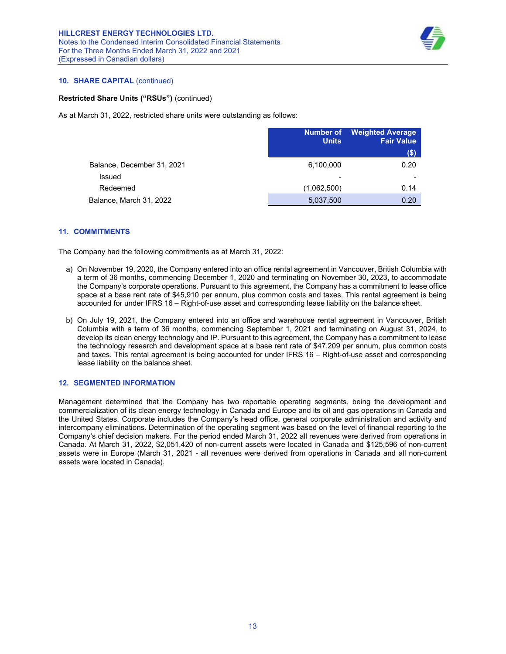

# 10. SHARE CAPITAL (continued)

### Restricted Share Units ("RSUs") (continued)

As at March 31, 2022, restricted share units were outstanding as follows:

|                            | <b>Units</b> | <b>Number of</b> Weighted Average<br><b>Fair Value</b> |
|----------------------------|--------------|--------------------------------------------------------|
|                            |              | (\$)                                                   |
| Balance, December 31, 2021 | 6,100,000    | 0.20                                                   |
| Issued                     | ٠            |                                                        |
| Redeemed                   | (1,062,500)  | 0.14                                                   |
| Balance, March 31, 2022    | 5,037,500    | 0.20                                                   |

### 11. COMMITMENTS

The Company had the following commitments as at March 31, 2022:

- a) On November 19, 2020, the Company entered into an office rental agreement in Vancouver, British Columbia with a term of 36 months, commencing December 1, 2020 and terminating on November 30, 2023, to accommodate the Company's corporate operations. Pursuant to this agreement, the Company has a commitment to lease office space at a base rent rate of \$45,910 per annum, plus common costs and taxes. This rental agreement is being accounted for under IFRS 16 – Right-of-use asset and corresponding lease liability on the balance sheet.
- b) On July 19, 2021, the Company entered into an office and warehouse rental agreement in Vancouver, British Columbia with a term of 36 months, commencing September 1, 2021 and terminating on August 31, 2024, to develop its clean energy technology and IP. Pursuant to this agreement, the Company has a commitment to lease the technology research and development space at a base rent rate of \$47,209 per annum, plus common costs and taxes. This rental agreement is being accounted for under IFRS 16 – Right-of-use asset and corresponding lease liability on the balance sheet.

### 12. SEGMENTED INFORMATION

Management determined that the Company has two reportable operating segments, being the development and commercialization of its clean energy technology in Canada and Europe and its oil and gas operations in Canada and the United States. Corporate includes the Company's head office, general corporate administration and activity and intercompany eliminations. Determination of the operating segment was based on the level of financial reporting to the Company's chief decision makers. For the period ended March 31, 2022 all revenues were derived from operations in Canada. At March 31, 2022, \$2,051,420 of non-current assets were located in Canada and \$125,596 of non-current assets were in Europe (March 31, 2021 - all revenues were derived from operations in Canada and all non-current assets were located in Canada).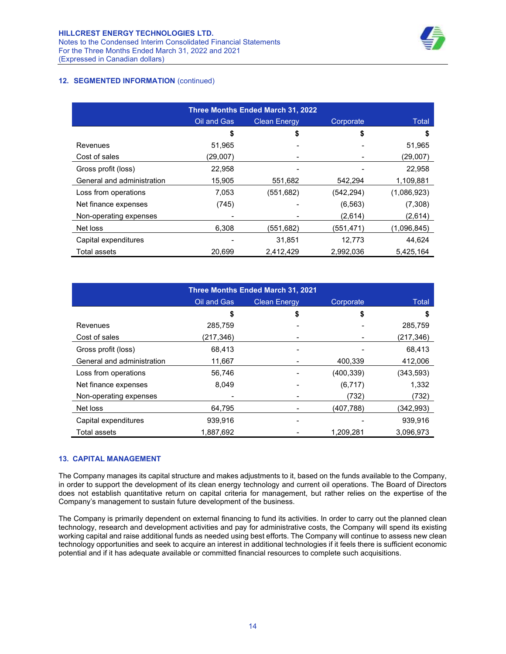

# 12. SEGMENTED INFORMATION (continued)

| Three Months Ended March 31, 2022 |                                                 |           |            |             |
|-----------------------------------|-------------------------------------------------|-----------|------------|-------------|
|                                   | Oil and Gas<br>Corporate<br><b>Clean Energy</b> |           | Total      |             |
|                                   | \$                                              | \$        | \$         | 5           |
| Revenues                          | 51,965                                          |           |            | 51,965      |
| Cost of sales                     | (29,007)                                        |           |            | (29,007)    |
| Gross profit (loss)               | 22,958                                          |           |            | 22,958      |
| General and administration        | 15.905                                          | 551.682   | 542.294    | 1,109,881   |
| Loss from operations              | 7.053                                           | (551,682) | (542, 294) | (1,086,923) |
| Net finance expenses              | (745)                                           |           | (6, 563)   | (7,308)     |
| Non-operating expenses            |                                                 |           | (2,614)    | (2,614)     |
| Net loss                          | 6.308                                           | (551,682) | (551,471)  | (1,096,845) |
| Capital expenditures              |                                                 | 31,851    | 12.773     | 44.624      |
| Total assets                      | 20.699                                          | 2.412.429 | 2,992,036  | 5,425,164   |

| <b>Three Months Ended March 31, 2021</b> |             |                                  |            |            |  |
|------------------------------------------|-------------|----------------------------------|------------|------------|--|
|                                          | Oil and Gas | Corporate<br><b>Clean Energy</b> |            | Total      |  |
|                                          | S           | \$                               | S          | S          |  |
| Revenues                                 | 285,759     |                                  |            | 285,759    |  |
| Cost of sales                            | (217,346)   |                                  |            | (217, 346) |  |
| Gross profit (loss)                      | 68.413      |                                  |            | 68.413     |  |
| General and administration               | 11,667      |                                  | 400,339    | 412,006    |  |
| Loss from operations                     | 56.746      |                                  | (400, 339) | (343,593)  |  |
| Net finance expenses                     | 8,049       |                                  | (6,717)    | 1,332      |  |
| Non-operating expenses                   |             |                                  | (732)      | (732)      |  |
| Net loss                                 | 64.795      |                                  | (407,788)  | (342,993)  |  |
| Capital expenditures                     | 939.916     |                                  |            | 939.916    |  |
| Total assets                             | 1,887,692   |                                  | 1,209,281  | 3,096,973  |  |

## 13. CAPITAL MANAGEMENT

The Company manages its capital structure and makes adjustments to it, based on the funds available to the Company, in order to support the development of its clean energy technology and current oil operations. The Board of Directors does not establish quantitative return on capital criteria for management, but rather relies on the expertise of the Company's management to sustain future development of the business.

The Company is primarily dependent on external financing to fund its activities. In order to carry out the planned clean technology, research and development activities and pay for administrative costs, the Company will spend its existing working capital and raise additional funds as needed using best efforts. The Company will continue to assess new clean technology opportunities and seek to acquire an interest in additional technologies if it feels there is sufficient economic potential and if it has adequate available or committed financial resources to complete such acquisitions.